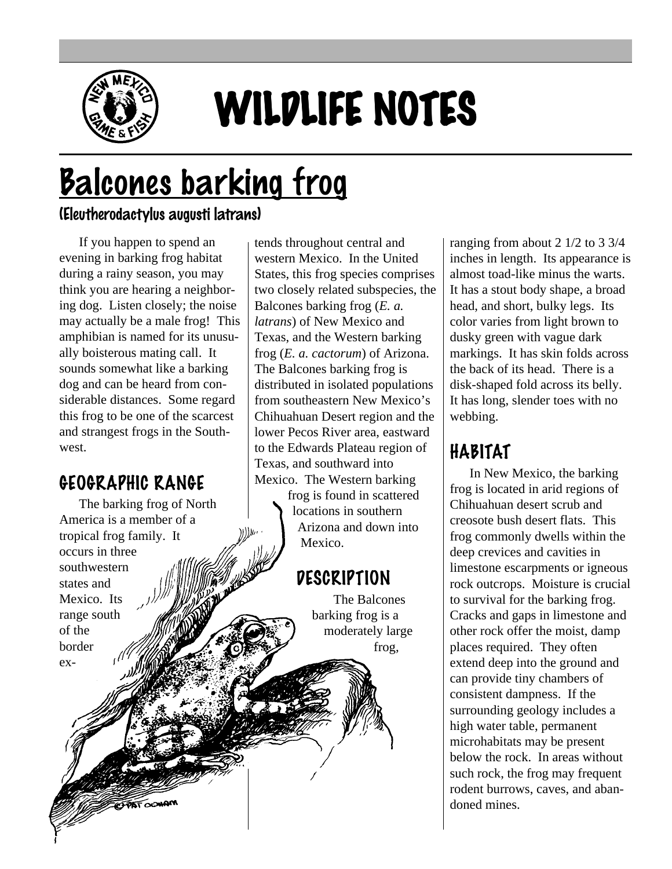

# WILDLIFE NOTES

# Balcones barking frog

#### (Eleutherodactylus augusti latrans)

If you happen to spend an evening in barking frog habitat during a rainy season, you may think you are hearing a neighboring dog. Listen closely; the noise may actually be a male frog! This amphibian is named for its unusually boisterous mating call. It sounds somewhat like a barking dog and can be heard from considerable distances. Some regard this frog to be one of the scarcest and strangest frogs in the Southwest.

# GEOGRAPHIC RANGE

The barking frog of North America is a member of a tropical frog family. It occurs in three southwestern states and Mexico. Its range south of the border extends throughout central and western Mexico. In the United States, this frog species comprises two closely related subspecies, the Balcones barking frog (*E. a. latrans*) of New Mexico and Texas, and the Western barking frog (*E. a. cactorum*) of Arizona. The Balcones barking frog is distributed in isolated populations from southeastern New Mexico's Chihuahuan Desert region and the lower Pecos River area, eastward to the Edwards Plateau region of Texas, and southward into Mexico. The Western barking

> frog is found in scattered locations in southern Arizona and down into Mexico.

# DESCRIPTION

The Balcones barking frog is a moderately large frog,

ranging from about 2 1/2 to 3 3/4 inches in length. Its appearance is almost toad-like minus the warts. It has a stout body shape, a broad head, and short, bulky legs. Its color varies from light brown to dusky green with vague dark markings. It has skin folds across the back of its head. There is a disk-shaped fold across its belly. It has long, slender toes with no webbing.

# HABITAT

In New Mexico, the barking frog is located in arid regions of Chihuahuan desert scrub and creosote bush desert flats. This frog commonly dwells within the deep crevices and cavities in limestone escarpments or igneous rock outcrops. Moisture is crucial to survival for the barking frog. Cracks and gaps in limestone and other rock offer the moist, damp places required. They often extend deep into the ground and can provide tiny chambers of consistent dampness. If the surrounding geology includes a high water table, permanent microhabitats may be present below the rock. In areas without such rock, the frog may frequent rodent burrows, caves, and abandoned mines.